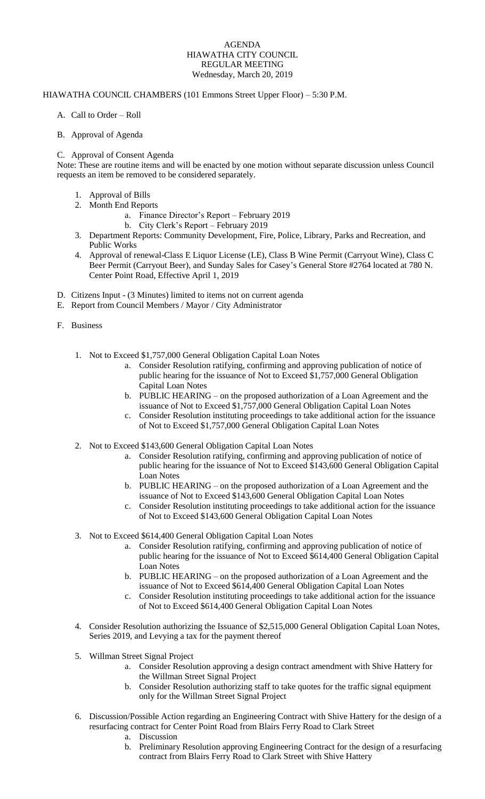## AGENDA HIAWATHA CITY COUNCIL REGULAR MEETING Wednesday, March 20, 2019

## HIAWATHA COUNCIL CHAMBERS (101 Emmons Street Upper Floor) – 5:30 P.M.

- A. Call to Order Roll
- B. Approval of Agenda

## C. Approval of Consent Agenda

Note: These are routine items and will be enacted by one motion without separate discussion unless Council requests an item be removed to be considered separately.

- 1. Approval of Bills
- 2. Month End Reports
	- a. Finance Director's Report February 2019
	- b. City Clerk's Report February 2019
- 3. Department Reports: Community Development, Fire, Police, Library, Parks and Recreation, and Public Works
- 4. Approval of renewal-Class E Liquor License (LE), Class B Wine Permit (Carryout Wine), Class C Beer Permit (Carryout Beer), and Sunday Sales for Casey's General Store #2764 located at 780 N. Center Point Road, Effective April 1, 2019
- D. Citizens Input (3 Minutes) limited to items not on current agenda
- E. Report from Council Members / Mayor / City Administrator
- F. Business
	- 1. Not to Exceed \$1,757,000 General Obligation Capital Loan Notes
		- a. Consider Resolution ratifying, confirming and approving publication of notice of public hearing for the issuance of Not to Exceed \$1,757,000 General Obligation Capital Loan Notes
		- b. PUBLIC HEARING on the proposed authorization of a Loan Agreement and the issuance of Not to Exceed \$1,757,000 General Obligation Capital Loan Notes
		- c. Consider Resolution instituting proceedings to take additional action for the issuance of Not to Exceed \$1,757,000 General Obligation Capital Loan Notes
	- 2. Not to Exceed \$143,600 General Obligation Capital Loan Notes
		- a. Consider Resolution ratifying, confirming and approving publication of notice of public hearing for the issuance of Not to Exceed \$143,600 General Obligation Capital Loan Notes
		- b. PUBLIC HEARING on the proposed authorization of a Loan Agreement and the issuance of Not to Exceed \$143,600 General Obligation Capital Loan Notes
		- c. Consider Resolution instituting proceedings to take additional action for the issuance of Not to Exceed \$143,600 General Obligation Capital Loan Notes
	- 3. Not to Exceed \$614,400 General Obligation Capital Loan Notes
		- a. Consider Resolution ratifying, confirming and approving publication of notice of public hearing for the issuance of Not to Exceed \$614,400 General Obligation Capital Loan Notes
		- b. PUBLIC HEARING on the proposed authorization of a Loan Agreement and the issuance of Not to Exceed \$614,400 General Obligation Capital Loan Notes
		- c. Consider Resolution instituting proceedings to take additional action for the issuance of Not to Exceed \$614,400 General Obligation Capital Loan Notes
	- 4. Consider Resolution authorizing the Issuance of \$2,515,000 General Obligation Capital Loan Notes, Series 2019, and Levying a tax for the payment thereof
	- 5. Willman Street Signal Project
		- a. Consider Resolution approving a design contract amendment with Shive Hattery for the Willman Street Signal Project
		- b. Consider Resolution authorizing staff to take quotes for the traffic signal equipment only for the Willman Street Signal Project
	- 6. Discussion/Possible Action regarding an Engineering Contract with Shive Hattery for the design of a resurfacing contract for Center Point Road from Blairs Ferry Road to Clark Street
		- a. Discussion
		- b. Preliminary Resolution approving Engineering Contract for the design of a resurfacing contract from Blairs Ferry Road to Clark Street with Shive Hattery